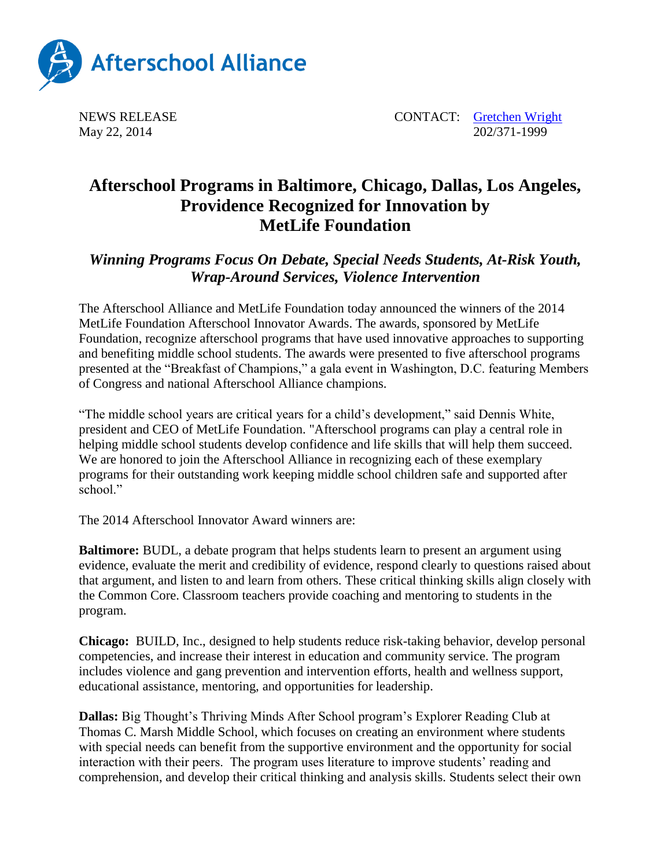

NEWS RELEASE CONTACT: [Gretchen Wright](mailto:gretchen@prsolutionsdc.com) May 22, 2014 202/371-1999

## **Afterschool Programs in Baltimore, Chicago, Dallas, Los Angeles, Providence Recognized for Innovation by MetLife Foundation**

## *Winning Programs Focus On Debate, Special Needs Students, At-Risk Youth, Wrap-Around Services, Violence Intervention*

The Afterschool Alliance and MetLife Foundation today announced the winners of the 2014 MetLife Foundation Afterschool Innovator Awards. The awards, sponsored by MetLife Foundation, recognize afterschool programs that have used innovative approaches to supporting and benefiting middle school students. The awards were presented to five afterschool programs presented at the "Breakfast of Champions," a gala event in Washington, D.C. featuring Members of Congress and national Afterschool Alliance champions.

"The middle school years are critical years for a child's development," said Dennis White, president and CEO of MetLife Foundation. "Afterschool programs can play a central role in helping middle school students develop confidence and life skills that will help them succeed. We are honored to join the Afterschool Alliance in recognizing each of these exemplary programs for their outstanding work keeping middle school children safe and supported after school"

The 2014 Afterschool Innovator Award winners are:

**Baltimore:** BUDL, a debate program that helps students learn to present an argument using evidence, evaluate the merit and credibility of evidence, respond clearly to questions raised about that argument, and listen to and learn from others. These critical thinking skills align closely with the Common Core. Classroom teachers provide coaching and mentoring to students in the program.

**Chicago:** BUILD, Inc., designed to help students reduce risk-taking behavior, develop personal competencies, and increase their interest in education and community service. The program includes violence and gang prevention and intervention efforts, health and wellness support, educational assistance, mentoring, and opportunities for leadership.

**Dallas:** Big Thought's Thriving Minds After School program's Explorer Reading Club at Thomas C. Marsh Middle School, which focuses on creating an environment where students with special needs can benefit from the supportive environment and the opportunity for social interaction with their peers. The program uses literature to improve students' reading and comprehension, and develop their critical thinking and analysis skills. Students select their own